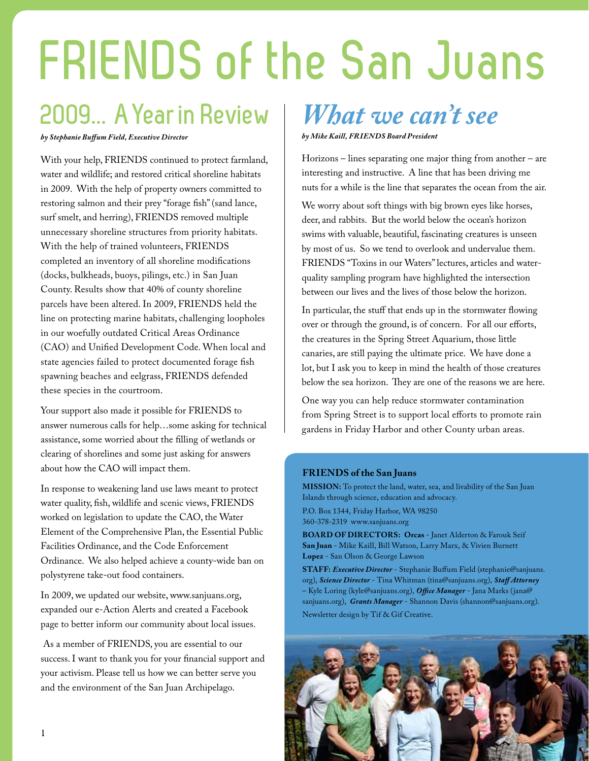# **FRIENDS of the San Juans**

### **2009... AYearin Review**

*by Stephanie Buffum Field, Executive Director*

With your help, FRIENDS continued to protect farmland, water and wildlife; and restored critical shoreline habitats in 2009. With the help of property owners committed to restoring salmon and their prey "forage fish" (sand lance, surf smelt, and herring), FRIENDS removed multiple unnecessary shoreline structures from priority habitats. With the help of trained volunteers, FRIENDS completed an inventory of all shoreline modifications (docks, bulkheads, buoys, pilings, etc.) in San Juan County. Results show that 40% of county shoreline parcels have been altered. In 2009, FRIENDS held the line on protecting marine habitats, challenging loopholes in our woefully outdated Critical Areas Ordinance (CAO) and Unified Development Code. When local and state agencies failed to protect documented forage fish spawning beaches and eelgrass, FRIENDS defended these species in the courtroom.

Your support also made it possible for FRIENDS to answer numerous calls for help…some asking for technical assistance, some worried about the filling of wetlands or clearing of shorelines and some just asking for answers about how the CAO will impact them.

In response to weakening land use laws meant to protect water quality, fish, wildlife and scenic views, FRIENDS worked on legislation to update the CAO, the Water Element of the Comprehensive Plan, the Essential Public Facilities Ordinance, and the Code Enforcement Ordinance. We also helped achieve a county-wide ban on polystyrene take-out food containers.

In 2009, we updated our website, www.sanjuans.org, expanded our e-Action Alerts and created a Facebook page to better inform our community about local issues.

 As a member of FRIENDS, you are essential to our success. I want to thank you for your financial support and your activism. Please tell us how we can better serve you and the environment of the San Juan Archipelago.

### *What we can't see by Mike Kaill, FRIENDS Board President*

Horizons – lines separating one major thing from another – are interesting and instructive. A line that has been driving me nuts for a while is the line that separates the ocean from the air.

We worry about soft things with big brown eyes like horses, deer, and rabbits. But the world below the ocean's horizon swims with valuable, beautiful, fascinating creatures is unseen by most of us. So we tend to overlook and undervalue them. FRIENDS "Toxins in our Waters" lectures, articles and waterquality sampling program have highlighted the intersection between our lives and the lives of those below the horizon.

In particular, the stuff that ends up in the stormwater flowing over or through the ground, is of concern. For all our efforts, the creatures in the Spring Street Aquarium, those little canaries, are still paying the ultimate price. We have done a lot, but I ask you to keep in mind the health of those creatures below the sea horizon. They are one of the reasons we are here.

One way you can help reduce stormwater contamination from Spring Street is to support local efforts to promote rain gardens in Friday Harbor and other County urban areas.

#### **FRIENDS of the San Juans**

**MISSION:** To protect the land, water, sea, and livability of the San Juan Islands through science, education and advocacy.

P.O. Box 1344, Friday Harbor, WA 98250 360-378-2319 www.sanjuans.org

**BOARD OF DIRECTORS: Orcas** - Janet Alderton & Farouk Seif **San Juan** - Mike Kaill, Bill Watson, Larry Marx, & Vivien Burnett **Lopez** - San Olson & George Lawson

**STAFF:** *Executive Director* - Stephanie Buffum Field (stephanie@sanjuans. org), *Science Director* - Tina Whitman (tina@sanjuans.org), *Staff Attorney* – Kyle Loring (kyle@sanjuans.org), *Office Manager* - Jana Marks (jana@ sanjuans.org), *Grants Manager* - Shannon Davis (shannon@sanjuans.org). Newsletter design by Tif & Gif Creative.

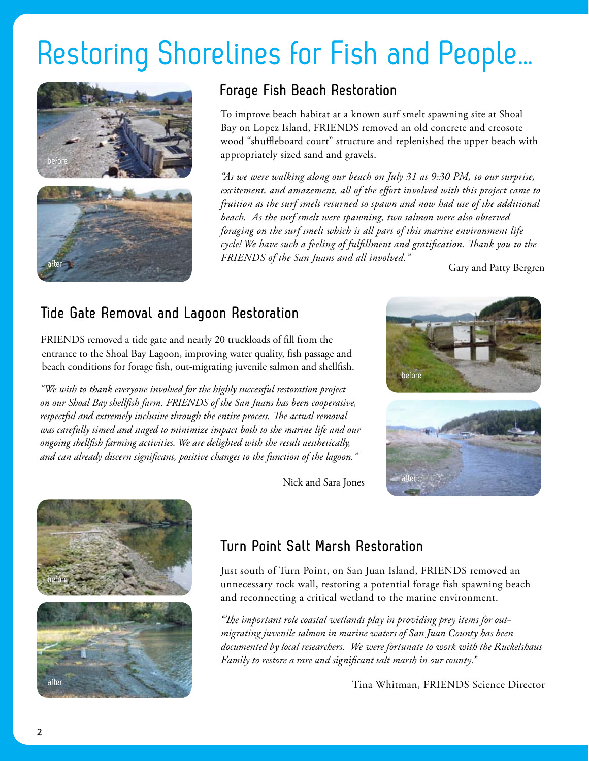# Restoring Shorelines for Fish and People...



### **Forage Fish Beach Restoration**

To improve beach habitat at a known surf smelt spawning site at Shoal Bay on Lopez Island, FRIENDS removed an old concrete and creosote wood "shuffleboard court" structure and replenished the upper beach with appropriately sized sand and gravels.

*"As we were walking along our beach on July 31 at 9:30 PM, to our surprise, excitement, and amazement, all of the effort involved with this project came to fruition as the surf smelt returned to spawn and now had use of the additional beach. As the surf smelt were spawning, two salmon were also observed foraging on the surf smelt which is all part of this marine environment life cycle! We have such a feeling of fulfillment and gratification. Thank you to the Friends of the San Juans and all involved."*

Gary and Patty Bergren

### **Tide Gate Removal and Lagoon Restoration**

FRIENDS removed a tide gate and nearly 20 truckloads of fill from the entrance to the Shoal Bay Lagoon, improving water quality, fish passage and beach conditions for forage fish, out-migrating juvenile salmon and shellfish.

*"We wish to thank everyone involved for the highly successful restoration project on our Shoal Bay shellfish farm. FRIENDS of the San Juans has been cooperative, respectful and extremely inclusive through the entire process. The actual removal was carefully timed and staged to minimize impact both to the marine life and our ongoing shellfish farming activities. We are delighted with the result aesthetically, and can already discern significant, positive changes to the function of the lagoon."*





#### Nick and Sara Jones

### **Turn Point Salt Marsh Restoration**

Just south of Turn Point, on San Juan Island, FRIENDS removed an unnecessary rock wall, restoring a potential forage fish spawning beach and reconnecting a critical wetland to the marine environment.

*"The important role coastal wetlands play in providing prey items for outmigrating juvenile salmon in marine waters of San Juan County has been documented by local researchers. We were fortunate to work with the Ruckelshaus Family to restore a rare and significant salt marsh in our county."*

Tina Whitman, FRIENDS Science Director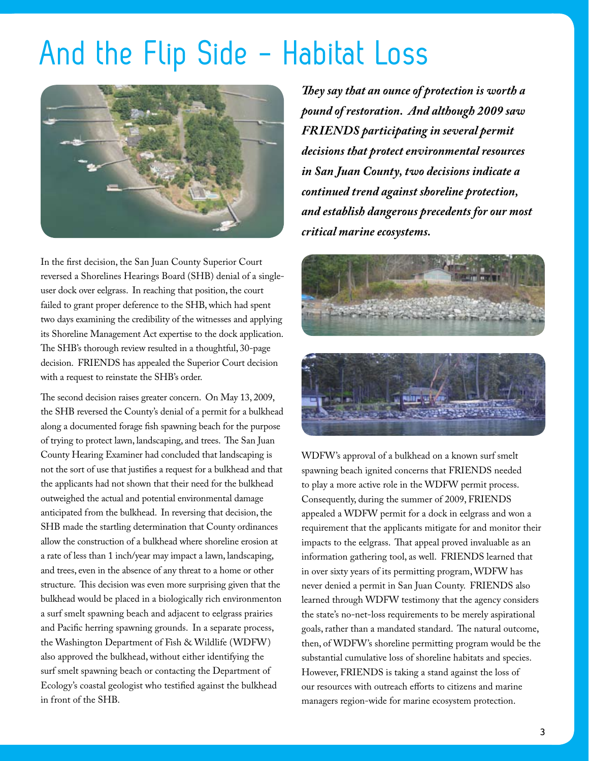## And the Flip Side - Habitat Loss



In the first decision, the San Juan County Superior Court reversed a Shorelines Hearings Board (SHB) denial of a singleuser dock over eelgrass. In reaching that position, the court failed to grant proper deference to the SHB, which had spent two days examining the credibility of the witnesses and applying its Shoreline Management Act expertise to the dock application. The SHB's thorough review resulted in a thoughtful, 30-page decision. FRIENDS has appealed the Superior Court decision with a request to reinstate the SHB's order.

The second decision raises greater concern. On May 13, 2009, the SHB reversed the County's denial of a permit for a bulkhead along a documented forage fish spawning beach for the purpose of trying to protect lawn, landscaping, and trees. The San Juan County Hearing Examiner had concluded that landscaping is not the sort of use that justifies a request for a bulkhead and that the applicants had not shown that their need for the bulkhead outweighed the actual and potential environmental damage anticipated from the bulkhead. In reversing that decision, the SHB made the startling determination that County ordinances allow the construction of a bulkhead where shoreline erosion at a rate of less than 1 inch/year may impact a lawn, landscaping, and trees, even in the absence of any threat to a home or other structure. This decision was even more surprising given that the bulkhead would be placed in a biologically rich environmenton a surf smelt spawning beach and adjacent to eelgrass prairies and Pacific herring spawning grounds. In a separate process, the Washington Department of Fish & Wildlife (WDFW) also approved the bulkhead, without either identifying the surf smelt spawning beach or contacting the Department of Ecology's coastal geologist who testified against the bulkhead in front of the SHB.

*They say that an ounce of protection is worth a pound of restoration. And although 2009 saw FRIENDS participating in several permit decisions that protect environmental resources in San Juan County, two decisions indicate a continued trend against shoreline protection, and establish dangerous precedents for our most critical marine ecosystems.*



WDFW's approval of a bulkhead on a known surf smelt spawning beach ignited concerns that FRIENDS needed to play a more active role in the WDFW permit process. Consequently, during the summer of 2009, FRIENDS appealed a WDFW permit for a dock in eelgrass and won a requirement that the applicants mitigate for and monitor their impacts to the eelgrass. That appeal proved invaluable as an information gathering tool, as well. FRIENDS learned that in over sixty years of its permitting program, WDFW has never denied a permit in San Juan County. FRIENDS also learned through WDFW testimony that the agency considers the state's no-net-loss requirements to be merely aspirational goals, rather than a mandated standard. The natural outcome, then, of WDFW's shoreline permitting program would be the substantial cumulative loss of shoreline habitats and species. However, FRIENDS is taking a stand against the loss of our resources with outreach efforts to citizens and marine managers region-wide for marine ecosystem protection.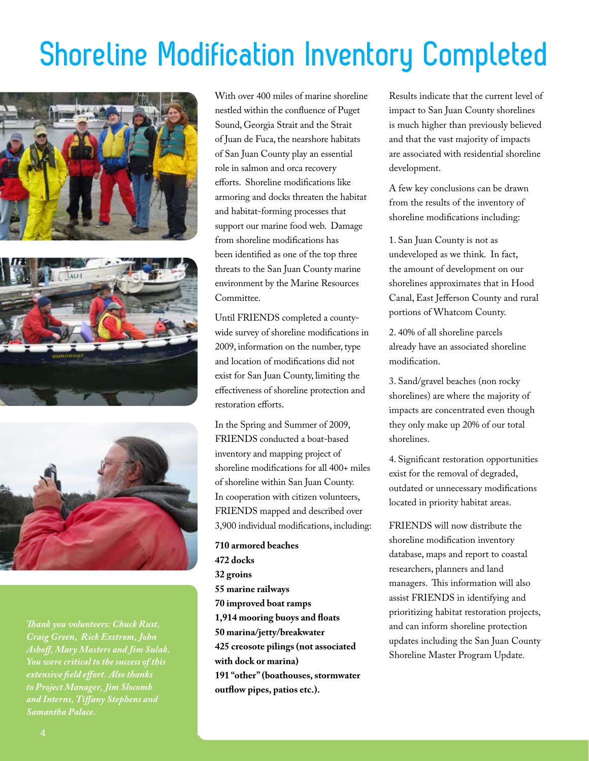# **Shoreline Modification Inventory Completed**







*Thank you volunteers: Chuck Rust, Craig Green, Rick Exstrom, John Ashoff, Mary Masters and Jim Sulak. You were critical to the success of this extensive field effort. Also thanks to Project Manager, Jim Slocomb and Interns, Tiffany Stephens and Samantha Palace.*

With over 400 miles of marine shoreline nestled within the confluence of Puget Sound, Georgia Strait and the Strait of Juan de Fuca, the nearshore habitats of San Juan County play an essential role in salmon and orca recovery efforts. Shoreline modifications like armoring and docks threaten the habitat and habitat-forming processes that support our marine food web. Damage from shoreline modifications has been identified as one of the top three threats to the San Juan County marine environment by the Marine Resources Committee.

Until FRIENDS completed a countywide survey of shoreline modifications in 2009, information on the number, type and location of modifications did not exist for San Juan County, limiting the effectiveness of shoreline protection and restoration efforts.

In the Spring and Summer of 2009, FRIENDS conducted a boat-based inventory and mapping project of shoreline modifications for all 400+ miles of shoreline within San Juan County. In cooperation with citizen volunteers, FRIENDS mapped and described over 3,900 individual modifications, including:

**710 armored beaches 472 docks 32 groins 55 marine railways 70 improved boat ramps 1,914 mooring buoys and floats 50 marina/jetty/breakwater 425 creosote pilings (not associated with dock or marina) 191 "other" (boathouses, stormwater outflow pipes, patios etc.).** 

Results indicate that the current level of impact to San Juan County shorelines is much higher than previously believed and that the vast majority of impacts are associated with residential shoreline development.

A few key conclusions can be drawn from the results of the inventory of shoreline modifications including:

1. San Juan County is not as undeveloped as we think. In fact, the amount of development on our shorelines approximates that in Hood Canal, East Jefferson County and rural portions of Whatcom County.

2. 40% of all shoreline parcels already have an associated shoreline modification.

3. Sand/gravel beaches (non rocky shorelines) are where the majority of impacts are concentrated even though they only make up 20% of our total shorelines.

4. Significant restoration opportunities exist for the removal of degraded, outdated or unnecessary modifications located in priority habitat areas.

FRIENDS will now distribute the shoreline modification inventory database, maps and report to coastal researchers, planners and land managers. This information will also assist FRIENDS in identifying and prioritizing habitat restoration projects, and can inform shoreline protection updates including the San Juan County Shoreline Master Program Update.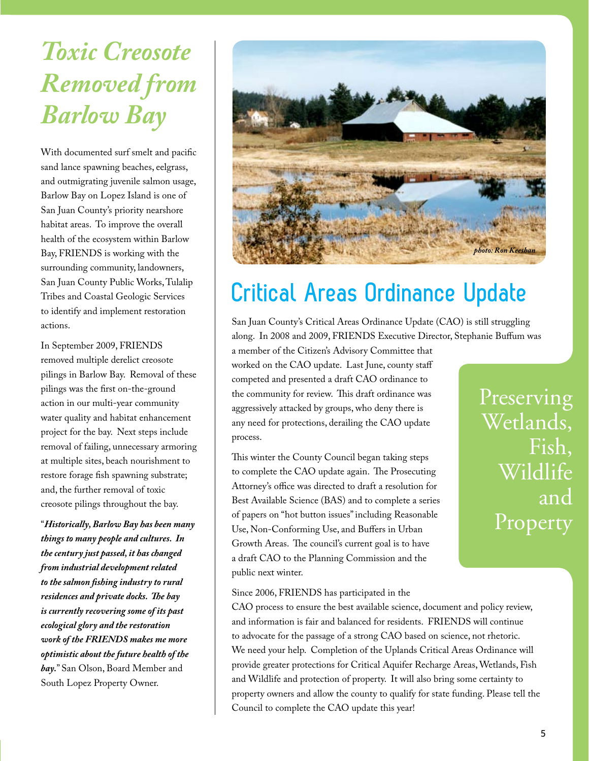*Toxic Creosote Removed from Barlow Bay*

With documented surf smelt and pacific sand lance spawning beaches, eelgrass, and outmigrating juvenile salmon usage, Barlow Bay on Lopez Island is one of San Juan County's priority nearshore habitat areas. To improve the overall health of the ecosystem within Barlow Bay, FRIENDS is working with the surrounding community, landowners, San Juan County Public Works, Tulalip Tribes and Coastal Geologic Services to identify and implement restoration actions.

In September 2009, FRIENDS removed multiple derelict creosote pilings in Barlow Bay. Removal of these pilings was the first on-the-ground action in our multi-year community water quality and habitat enhancement project for the bay. Next steps include removal of failing, unnecessary armoring at multiple sites, beach nourishment to restore forage fish spawning substrate; and, the further removal of toxic creosote pilings throughout the bay.

"*Historically, Barlow Bay has been many things to many people and cultures. In the century just passed, it has changed from industrial development related to the salmon fishing industry to rural residences and private docks. The bay is currently recovering some of its past ecological glory and the restoration work of the FRIENDS makes me more optimistic about the future health of the bay.*" San Olson, Board Member and South Lopez Property Owner.



### **Critical Areas Ordinance Update**

San Juan County's Critical Areas Ordinance Update (CAO) is still struggling along. In 2008 and 2009, FRIENDS Executive Director, Stephanie Buffum was

a member of the Citizen's Advisory Committee that worked on the CAO update. Last June, county staff competed and presented a draft CAO ordinance to the community for review. This draft ordinance was aggressively attacked by groups, who deny there is any need for protections, derailing the CAO update process.

This winter the County Council began taking steps to complete the CAO update again. The Prosecuting Attorney's office was directed to draft a resolution for Best Available Science (BAS) and to complete a series of papers on "hot button issues" including Reasonable Use, Non-Conforming Use, and Buffers in Urban Growth Areas. The council's current goal is to have a draft CAO to the Planning Commission and the public next winter.

Preserving Wetlands, Fish, Wildlife and Property

Since 2006, FRIENDS has participated in the

CAO process to ensure the best available science, document and policy review, and information is fair and balanced for residents. FRIENDS will continue to advocate for the passage of a strong CAO based on science, not rhetoric. We need your help. Completion of the Uplands Critical Areas Ordinance will provide greater protections for Critical Aquifer Recharge Areas, Wetlands, Fish and Wildlife and protection of property. It will also bring some certainty to property owners and allow the county to qualify for state funding. Please tell the Council to complete the CAO update this year!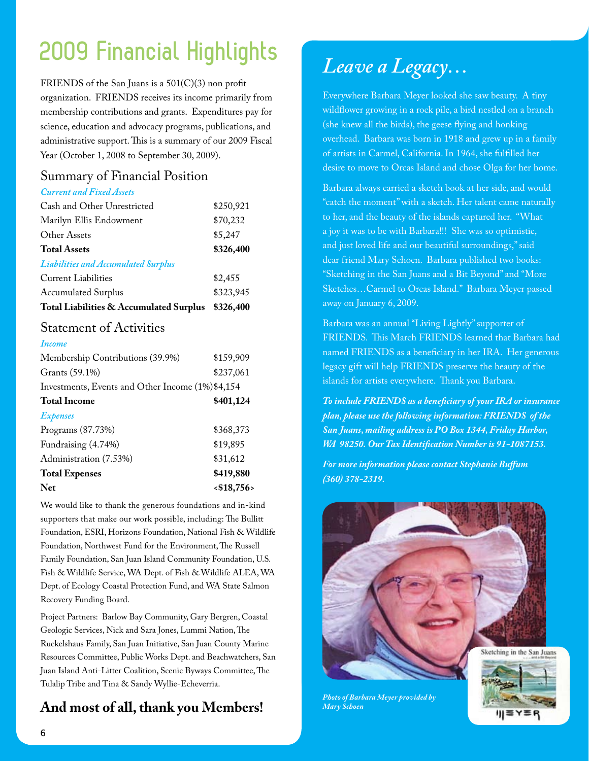### **2009 Financial Highlights**

FRIENDS of the San Juans is a 501(C)(3) non profit organization. FRIENDS receives its income primarily from membership contributions and grants. Expenditures pay for science, education and advocacy programs, publications, and administrative support. This is a summary of our 2009 Fiscal Year (October 1, 2008 to September 30, 2009).

### Summary of Financial Position

#### *Current and Fixed Assets*

| Cash and Other Unrestricted                | \$250,921 |
|--------------------------------------------|-----------|
| Marilyn Ellis Endowment                    | \$70,232  |
| Other Assets                               | \$5,247   |
| <b>Total Assets</b>                        | \$326,400 |
| <b>Liabilities and Accumulated Surplus</b> |           |
| <b>Current Liabilities</b>                 | \$2,455   |
| <b>Accumulated Surplus</b>                 | \$323,945 |
| Total Liabilities & Accumulated Surplus    | \$326,400 |

#### Statement of Activities

| \$159,909<br>\$237,061<br>Investments, Events and Other Income (1%)\$4,154 |
|----------------------------------------------------------------------------|
|                                                                            |
|                                                                            |
|                                                                            |
| \$401,124                                                                  |
|                                                                            |
| \$368,373                                                                  |
| \$19,895                                                                   |
| \$31,612                                                                   |
| \$419,880                                                                  |
| < \$18,756>                                                                |
|                                                                            |

We would like to thank the generous foundations and in-kind supporters that make our work possible, including: The Bullitt Foundation, ESRI, Horizons Foundation, National Fish & Wildlife Foundation, Northwest Fund for the Environment, The Russell Family Foundation, San Juan Island Community Foundation, U.S. Fish & Wildlife Service, WA Dept. of Fish & Wildlife ALEA, WA Dept. of Ecology Coastal Protection Fund, and WA State Salmon Recovery Funding Board.

Project Partners: Barlow Bay Community, Gary Bergren, Coastal Geologic Services, Nick and Sara Jones, Lummi Nation, The Ruckelshaus Family, San Juan Initiative, San Juan County Marine Resources Committee, Public Works Dept. and Beachwatchers, San Juan Island Anti-Litter Coalition, Scenic Byways Committee, The Tulalip Tribe and Tina & Sandy Wyllie-Echeverria.

### **And most of all, thank you Members!**

### *Leave a Legacy…*

Everywhere Barbara Meyer looked she saw beauty. A tiny wildflower growing in a rock pile, a bird nestled on a branch (she knew all the birds), the geese flying and honking overhead. Barbara was born in 1918 and grew up in a family of artists in Carmel, California. In 1964, she fulfilled her desire to move to Orcas Island and chose Olga for her home.

Barbara always carried a sketch book at her side, and would "catch the moment" with a sketch. Her talent came naturally to her, and the beauty of the islands captured her. "What a joy it was to be with Barbara!!! She was so optimistic, and just loved life and our beautiful surroundings," said dear friend Mary Schoen. Barbara published two books: "Sketching in the San Juans and a Bit Beyond" and "More Sketches…Carmel to Orcas Island." Barbara Meyer passed away on January 6, 2009.

Barbara was an annual "Living Lightly" supporter of FRIENDS. This March FRIENDS learned that Barbara had named FRIENDS as a beneficiary in her IRA. Her generous legacy gift will help FRIENDS preserve the beauty of the islands for artists everywhere. Thank you Barbara.

*To include FRIENDS as a beneficiary of your IRA or insurance plan, please use the following information: FRIENDS of the San Juans, mailing address is PO Box 1344, Friday Harbor, WA 98250. Our Tax Identification Number is 91-1087153.*

*For more information please contact Stephanie Buffum (360) 378-2319.*



*Photo of Barbara Meyer provided by Mary Schoen*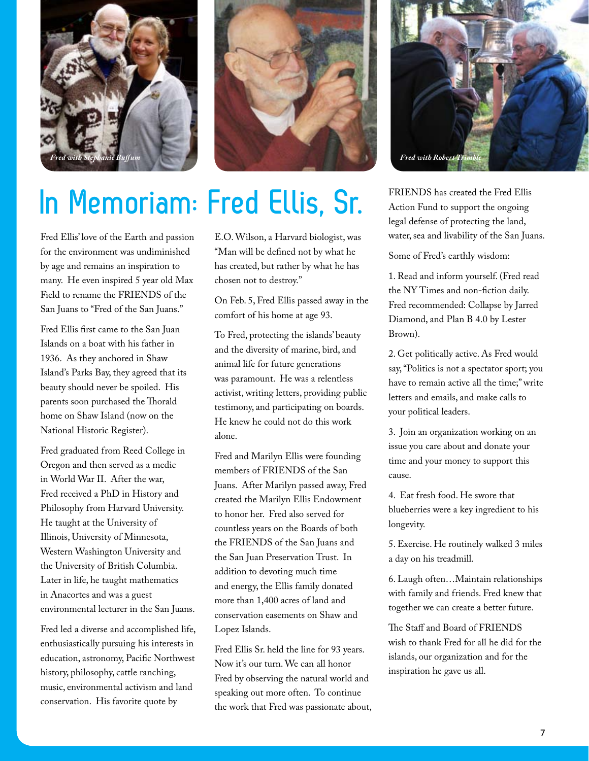



# **In Memoriam: Fred Ellis, Sr.**

Fred Ellis' love of the Earth and passion for the environment was undiminished by age and remains an inspiration to many. He even inspired 5 year old Max Field to rename the FRIENDS of the San Juans to "Fred of the San Juans."

Fred Ellis first came to the San Juan Islands on a boat with his father in 1936. As they anchored in Shaw Island's Parks Bay, they agreed that its beauty should never be spoiled. His parents soon purchased the Thorald home on Shaw Island (now on the National Historic Register).

Fred graduated from Reed College in Oregon and then served as a medic in World War II. After the war, Fred received a PhD in History and Philosophy from Harvard University. He taught at the University of Illinois, University of Minnesota, Western Washington University and the University of British Columbia. Later in life, he taught mathematics in Anacortes and was a guest environmental lecturer in the San Juans.

Fred led a diverse and accomplished life, enthusiastically pursuing his interests in education, astronomy, Pacific Northwest history, philosophy, cattle ranching, music, environmental activism and land conservation. His favorite quote by

E.O. Wilson, a Harvard biologist, was "Man will be defined not by what he has created, but rather by what he has chosen not to destroy."

On Feb. 5, Fred Ellis passed away in the comfort of his home at age 93.

To Fred, protecting the islands' beauty and the diversity of marine, bird, and animal life for future generations was paramount. He was a relentless activist, writing letters, providing public testimony, and participating on boards. He knew he could not do this work alone.

Fred and Marilyn Ellis were founding members of FRIENDS of the San Juans. After Marilyn passed away, Fred created the Marilyn Ellis Endowment to honor her. Fred also served for countless years on the Boards of both the FRIENDS of the San Juans and the San Juan Preservation Trust. In addition to devoting much time and energy, the Ellis family donated more than 1,400 acres of land and conservation easements on Shaw and Lopez Islands.

Fred Ellis Sr. held the line for 93 years. Now it's our turn. We can all honor Fred by observing the natural world and speaking out more often. To continue the work that Fred was passionate about,



FRIENDS has created the Fred Ellis Action Fund to support the ongoing legal defense of protecting the land, water, sea and livability of the San Juans.

Some of Fred's earthly wisdom:

1. Read and inform yourself. (Fred read the NY Times and non-fiction daily. Fred recommended: Collapse by Jarred Diamond, and Plan B 4.0 by Lester Brown).

2. Get politically active. As Fred would say, "Politics is not a spectator sport; you have to remain active all the time;" write letters and emails, and make calls to your political leaders.

3. Join an organization working on an issue you care about and donate your time and your money to support this cause.

4. Eat fresh food. He swore that blueberries were a key ingredient to his longevity.

5. Exercise. He routinely walked 3 miles a day on his treadmill.

6. Laugh often…Maintain relationships with family and friends. Fred knew that together we can create a better future.

The Staff and Board of FRIENDS wish to thank Fred for all he did for the islands, our organization and for the inspiration he gave us all.